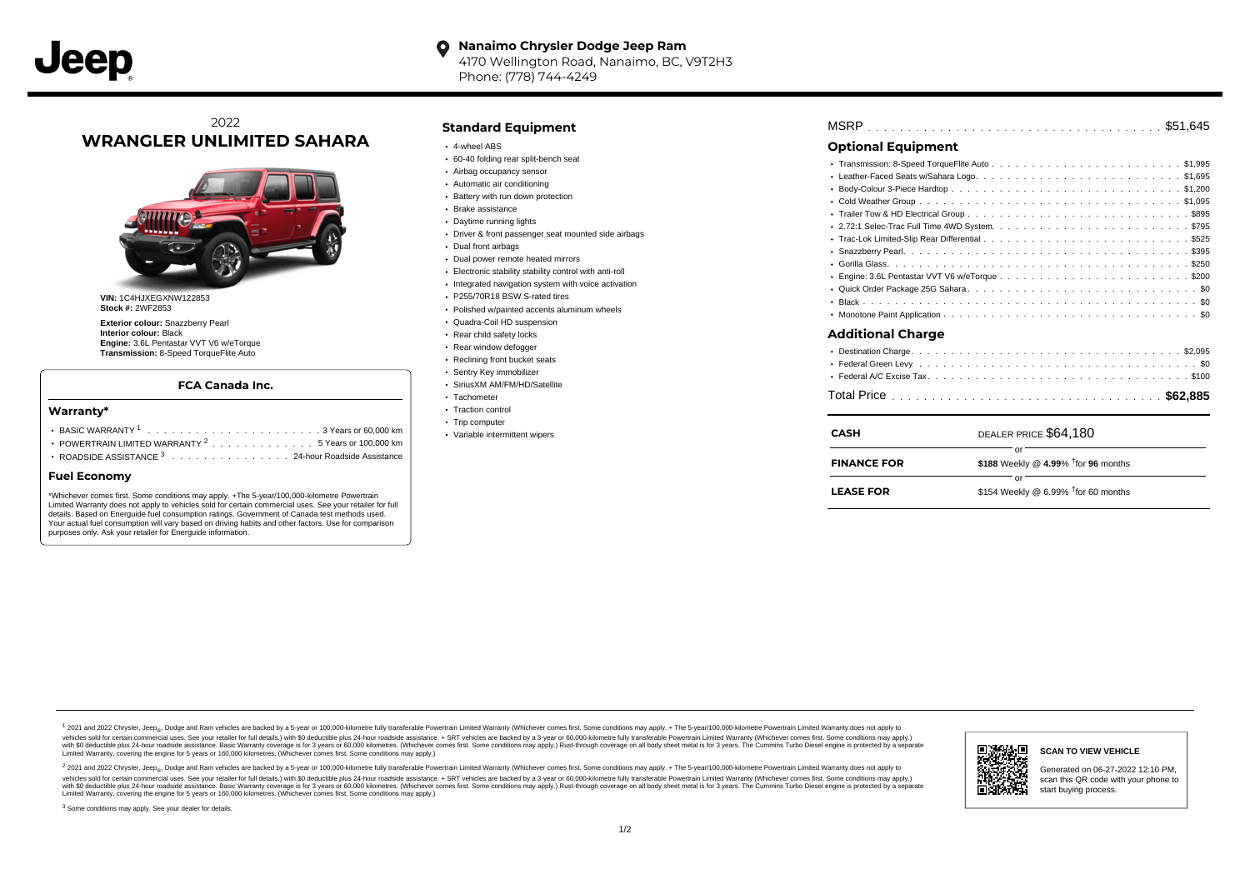#### **Nanaimo Chrysler Dodge Jeep Ram**  $\bullet$ 4170 Wellington Road, Nanaimo, BC, V9T2H3 Phone: (778) 744-4249

### 2022 **WRANGLER UNLIMITED SAHARA**



**VIN:** 1C4HJXEGXNW122853 **Stock #:** 2WF2853

**Exterior colour:** Snazzberry Pearl **Interior colour:** Black **Engine:** 3.6L Pentastar VVT V6 w/eTorque **Transmission:** 8-Speed TorqueFlite Auto

#### **FCA Canada Inc.**

#### **Warranty\***

| POWERTRAIN LIMITED WARRANTY <sup>2</sup> 5 Years or 100,000 km |  |  |  |  |  |  |
|----------------------------------------------------------------|--|--|--|--|--|--|
| ROADSIDE ASSISTANCE 3 24-hour Roadside Assistance              |  |  |  |  |  |  |

#### **Fuel Economy**

\*Whichever comes first. Some conditions may apply. +The 5-year/100,000-kilometre Powertrain Limited Warranty does not apply to vehicles sold for certain commercial uses. See your retailer for full details. Based on Energuide fuel consumption ratings. Government of Canada test methods used. Your actual fuel consumption will vary based on driving habits and other factors. Use for comparison purposes only. Ask your retailer for Energuide information.

#### **Standard Equipment**

- 4-wheel ABS
- 60-40 folding rear split-bench seat
- Airbag occupancy sensor
- Automatic air conditioning
- Battery with run down protection
- Brake assistance
- Daytime running lights
- Driver & front passenger seat mounted side airbags
- Dual front airbags
- Dual power remote heated mirrors
- Electronic stability stability control with anti-roll
- Integrated navigation system with voice activation
- P255/70R18 BSW S-rated tires
- Polished w/painted accents aluminum wheels
- Quadra-Coil HD suspension
- Rear child safety locks
- Rear window defogger
- Reclining front bucket seats
- Sentry Key immobilizer SiriusXM AM/FM/HD/Satellite
- Tachometer
- Traction control
- Trip computer
- Variable intermittent wipers

# . . . . . . . . . . . . . . . . . . . . . . . . . . . . . . . . . . . . . . . . . . . . . . MSRP \$51,645

### **Optional Equipment**

|                          | or                    |
|--------------------------|-----------------------|
| <b>CASH</b>              | DEALER PRICE \$64.180 |
|                          |                       |
|                          |                       |
| <b>Additional Charge</b> |                       |
|                          |                       |
| ٠                        |                       |
|                          |                       |
|                          |                       |
|                          |                       |
|                          |                       |
|                          |                       |

| <b>FINANCE FOR</b> | \$188 Weekly @ 4.99% $\dagger$ for 96 months |
|--------------------|----------------------------------------------|
|--------------------|----------------------------------------------|

| <b>LEASE FOR</b> | \$154 Weekly @ 6.99% $†$ for 60 months |  |
|------------------|----------------------------------------|--|
|                  |                                        |  |

or

1 2021 and 2022 Chrysler, Jeep<sub>en</sub> Dodge and Ram vehicles are backed by a 5-year or 100,000-kilometre fully transferable Powertrain Limited Warranty (Whichever comes first. Some conditions may apply. + The 5-year/100,000-k vehicles sold for certain commercial uses. See your retailer for full details.) with \$0 deductible plus 24-hour roadside assistance. + SRT vehicles are backed by a 3-year or 60,000-kilometre fully transferable Powertrain L ventals and contract when the contract when the contract you contract when the contract when the control of the set of a set of a set of a set of 3 years of 60,000 kilometres. Whichever comes first. Some conditions may app Limited Warranty, covering the engine for 5 years or 160,000 kilometres. (Whichever comes first. Some conditions may apply.)

<sup>2</sup> 2021 and 2022 Chrysler, Jeep<sub>®</sub>, Dodge and Ram vehicles are backed by a 5-year or 100,000-kilometre fully transferable Powertrain Limited Warranty (Whichever comes first. Some conditions may apply. + The 5-year/100,000 vehicles sold for certain commercial uses. See your retailer for full details.) with SO deductible plus 24-hour roadside assistance. + SRT vehicles are backed by a 3-year or 60.000-kilometre fully transferable Powertrain L with S0 deductible plus 24-hour roadside assistance. Basic Warranty coverage is for 3 years or 60,000 kilometres. (Whichever comes first. Some conditions may apply.) Rust-through coverage on all body sheet metal is for 3 y



Generated on 06-27-2022 12:10 PM, scan this QR code with your phone to

<sup>3</sup> Some conditions may apply. See your dealer for details.